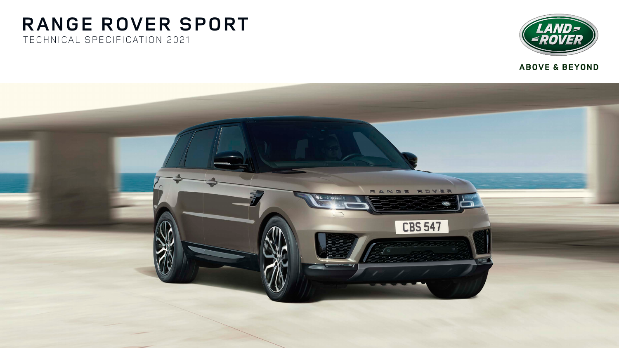# **RANGE ROVER SPORT** TECHNICAL SPECIFICATION 2021





**ABOVE & BEYOND**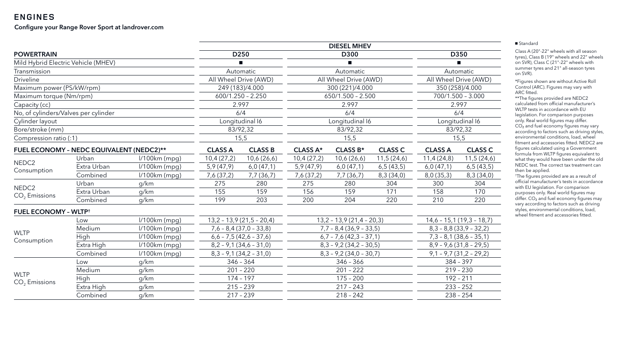## **ENGINES**

#### Configure your Range Rover Sport at landrover.com

|                                          |             |                 | <b>DIESEL MHEV</b>       |                            |                          |                            |                          |                           |                            |
|------------------------------------------|-------------|-----------------|--------------------------|----------------------------|--------------------------|----------------------------|--------------------------|---------------------------|----------------------------|
| <b>POWERTRAIN</b>                        |             |                 | D <sub>250</sub>         |                            | D300                     |                            | <b>D350</b>              |                           |                            |
| Mild Hybrid Electric Vehicle (MHEV)      |             |                 |                          |                            |                          |                            |                          |                           |                            |
| Transmission                             |             |                 |                          | Automatic                  |                          | Automatic                  |                          | Automatic                 |                            |
| <b>Driveline</b>                         |             |                 | All Wheel Drive (AWD)    |                            | All Wheel Drive (AWD)    |                            | All Wheel Drive (AWD)    |                           |                            |
| Maximum power (PS/kW/rpm)                |             |                 | 249 (183)/4.000          |                            | 300 (221)/4.000          |                            |                          | 350 (258)/4.000           |                            |
| Maximum torque (Nm/rpm)                  |             |                 | $600/1.250 - 2.250$      |                            | $650/1.500 - 2.500$      |                            |                          | $700/1.500 - 3.000$       |                            |
| Capacity (cc)                            |             |                 | 2.997                    |                            | 2.997                    |                            | 2.997                    |                           |                            |
| No, of cylinders/Valves per cylinder     |             |                 |                          | 6/4                        |                          | 6/4                        |                          | 6/4                       |                            |
| Cylinder layout                          |             |                 |                          | Longitudinal I6            |                          | Longitudinal I6            |                          | Longitudinal I6           |                            |
| Bore/stroke (mm)                         |             |                 |                          | 83/92,32                   |                          | 83/92,32                   |                          | 83/92,32                  |                            |
| Compression ratio (:1)                   |             |                 | 15,5                     |                            | 15,5                     |                            | 15,5                     |                           |                            |
| FUEL ECONOMY - NEDC EQUIVALENT (NEDC2)** |             | <b>CLASS A</b>  | <b>CLASS B</b>           | <b>CLASS A*</b>            | <b>CLASS B*</b>          | <b>CLASS C</b>             | <b>CLASS A</b>           | <b>CLASS C</b>            |                            |
|                                          | Urban       | $1/100km$ (mpg) | 10,4(27,2)               | 10,6(26,6)                 | 10,4(27,2)               | 10,6(26,6)                 | 11,5(24,6)               | 11,4(24,8)                | 11,5(24,6)                 |
| NEDC <sub>2</sub>                        | Extra Urban | l/100km (mpg)   | 5,9(47,9)                | 6,0(47,1)                  | 5,9(47,9)                | 6,0(47,1)                  | 6,5(43,5)                | 6,0(47,1)                 | 6,5(43,5)                  |
| Consumption                              | Combined    | $1/100km$ (mpg) | 7,6 (37,2)               | 7,7 (36,7)                 | 7,6 (37,2)               | 7,7 (36,7)                 | 8,3(34,0)                | 8,0(35,3)                 | 8,3(34,0)                  |
|                                          | Urban       | g/km            | 275                      | 280                        | 275                      | 280                        | 304                      | 300                       | 304                        |
| NEDC <sub>2</sub><br>$CO2$ Emissions     | Extra Urban | g/km            | 155                      | 159                        | 156                      | 159                        | 171                      | 158                       | 170                        |
|                                          | Combined    | g/km            | 199                      | 203                        | 200                      | 204                        | 220                      | 210                       | 220                        |
| <b>FUEL ECONOMY - WLTP<sup>+</sup></b>   |             |                 |                          |                            |                          |                            |                          |                           |                            |
|                                          | Low         | l/100km (mpg)   |                          | $13,2 - 13,9(21,5 - 20,4)$ |                          | $13,2 - 13,9(21,4 - 20,3)$ |                          |                           | $14,6 - 15,1(19,3 - 18,7)$ |
|                                          | Medium      | $1/100km$ (mpg) | $7,6 - 8,4(37,0 - 33,8)$ |                            | $7,7 - 8,4(36,9 - 33,5)$ |                            | $8,3 - 8,8(33,9 - 32,2)$ |                           |                            |
| <b>WLTP</b><br>Consumption               | <b>High</b> | $1/100km$ (mpg) |                          | $6,6 - 7,5(42,6 - 37,6)$   |                          | $6,7 - 7,6(42,3 - 37,1)$   |                          | $7,3 - 8,1 (38,6 - 35,1)$ |                            |
|                                          | Extra High  | $1/100km$ (mpg) |                          | $8,2 - 9,1(34,6 - 31,0)$   | $8,3 - 9,2(34,2 - 30,5)$ |                            | $8,9 - 9,6(31,8 - 29,5)$ |                           |                            |
|                                          | Combined    | l/100km (mpg)   | $8,3 - 9,1(34,2 - 31,0)$ |                            | $8,3 - 9,2(34,0 - 30,7)$ |                            | $9,1 - 9,7(31,2 - 29,2)$ |                           |                            |
| <b>WLTP</b>                              | Low         | g/km            |                          | $346 - 364$                |                          | $346 - 366$                |                          | $384 - 397$               |                            |
|                                          | Medium      | g/km            | $201 - 220$              |                            | $201 - 222$              |                            | $219 - 230$              |                           |                            |
|                                          | <b>High</b> | g/km            | $174 - 197$              |                            | $175 - 200$              |                            | $192 - 211$              |                           |                            |
| $CO2$ Emissions                          | Extra High  | g/km            |                          | $215 - 239$                | $217 - 243$              |                            | $233 - 252$              |                           |                            |
|                                          | Combined    | g/km            |                          | $217 - 239$                |                          | $218 - 242$                |                          | $238 - 254$               |                            |
|                                          |             |                 |                          |                            |                          |                            |                          |                           |                            |

#### ■ Standard

Class A (20"-22" wheels with all season tyres), Class B (19" wheels and 22" wheels on SVR), Class C (21"-22" wheels with summer tyres and 21" all-season tyres on SVR).

\*Figures shown are without Active Roll Control (ARC). Figures may vary with ARC fitted.

\*\*The figures provided are NEDC2 calculated from official manufacturer's WLTP tests in accordance with EU legislation. For comparison purposes only. Real world figures may differ.  $CO<sub>2</sub>$  and fuel economy figures may vary according to factors such as driving styles, environmental conditions, load, wheel fitment and accessories fitted. NEDC2 are figures calculated using a Government formula from WLTP figures equivalent to what they would have been under the old NEDC test. The correct tax treatment can then be applied.

† The figures provided are as a result of official manufacturer's tests in accordance with EU legislation. For comparison purposes only. Real world figures may differ. CO<sub>2</sub> and fuel economy figures may vary according to factors such as driving styles, environmental conditions, load, wheel fitment and accessories fitted.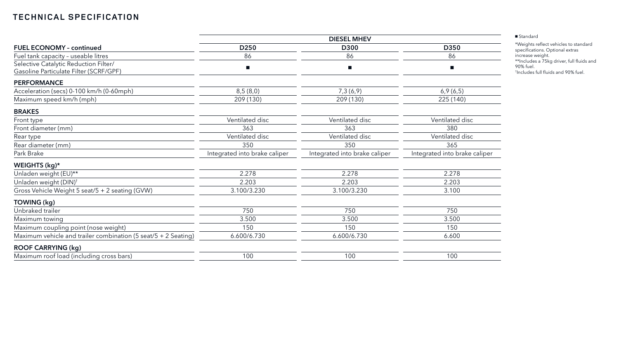|                                                                                 | <b>DIESEL MHEV</b>            |                               |                               |  |  |  |
|---------------------------------------------------------------------------------|-------------------------------|-------------------------------|-------------------------------|--|--|--|
| <b>FUEL ECONOMY - continued</b>                                                 | D <sub>250</sub>              | D300                          | D350<br>86                    |  |  |  |
| Fuel tank capacity - useable litres                                             | 86                            | 86                            |                               |  |  |  |
| Selective Catalytic Reduction Filter/<br>Gasoline Particulate Filter (SCRF/GPF) |                               |                               |                               |  |  |  |
| <b>PERFORMANCE</b>                                                              |                               |                               |                               |  |  |  |
| Acceleration (secs) 0-100 km/h (0-60mph)                                        | 8,5(8,0)                      | 7,3(6,9)                      | 6,9(6,5)                      |  |  |  |
| Maximum speed km/h (mph)                                                        | 209 (130)                     | 209 (130)                     | 225 (140)                     |  |  |  |
| <b>BRAKES</b>                                                                   |                               |                               |                               |  |  |  |
| Front type                                                                      | Ventilated disc               | Ventilated disc               | Ventilated disc               |  |  |  |
| Front diameter (mm)                                                             | 363                           | 363                           | 380                           |  |  |  |
| Rear type                                                                       | Ventilated disc               | Ventilated disc               | Ventilated disc               |  |  |  |
| Rear diameter (mm)                                                              | 350                           | 350                           | 365                           |  |  |  |
| Park Brake                                                                      | Integrated into brake caliper | Integrated into brake caliper | Integrated into brake caliper |  |  |  |
| WEIGHTS (kg)*                                                                   |                               |                               |                               |  |  |  |
| Unladen weight (EU)**                                                           | 2.278                         | 2.278                         | 2.278                         |  |  |  |
| Unladen weight (DIN) <sup>+</sup>                                               | 2.203                         | 2.203                         | 2.203                         |  |  |  |
| Gross Vehicle Weight 5 seat/5 + 2 seating (GVW)                                 | 3.100/3.230                   | 3.100/3.230                   | 3.100                         |  |  |  |
| TOWING (kg)                                                                     |                               |                               |                               |  |  |  |
| Unbraked trailer                                                                | 750                           | 750                           | 750                           |  |  |  |
| Maximum towing                                                                  | 3.500                         | 3.500                         | 3.500                         |  |  |  |
| Maximum coupling point (nose weight)                                            | 150                           | 150                           | 150                           |  |  |  |
| Maximum vehicle and trailer combination (5 seat/5 + 2 Seating)                  | 6.600/6.730                   | 6.600/6.730                   | 6.600                         |  |  |  |
| <b>ROOF CARRYING (kg)</b>                                                       |                               |                               |                               |  |  |  |
| Maximum roof load (including cross bars)                                        | 100                           | 100                           | 100                           |  |  |  |

■ Standard

\*Weights reflect vehicles to standard specifications. Optional extras increase weight. \*\*Includes a 75kg driver, full fluids and 90% fuel. † Includes full fluids and 90% fuel.

## **TECHNICAL SPECIFICATION**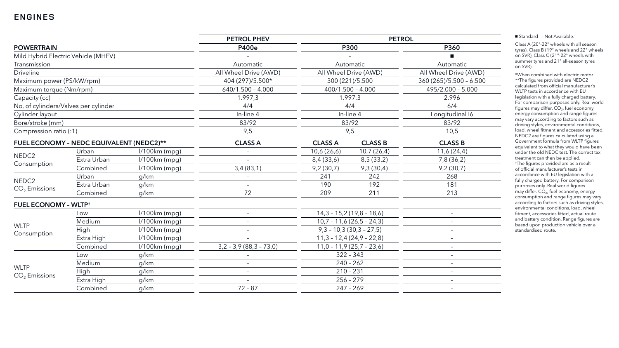## **ENGINES**

| <b>POWERTRAIN</b>                        |             | PETROL PHEV     | <b>PETROL</b>             |                            |                            |                          |  |
|------------------------------------------|-------------|-----------------|---------------------------|----------------------------|----------------------------|--------------------------|--|
|                                          |             | <b>P400e</b>    | <b>P300</b>               |                            | P360                       |                          |  |
| Mild Hybrid Electric Vehicle (MHEV)      |             |                 |                           |                            |                            |                          |  |
| Transmission                             |             |                 | Automatic                 | Automatic                  |                            | Automatic                |  |
| <b>Driveline</b>                         |             |                 | All Wheel Drive (AWD)     | All Wheel Drive (AWD)      |                            | All Wheel Drive (AWD)    |  |
| Maximum power (PS/kW/rpm)                |             |                 | 404 (297)/5.500*          | 300 (221)/5.500            |                            | 360 (265)/5.500 - 6.500  |  |
| Maximum torque (Nm/rpm)                  |             |                 | $640/1.500 - 4.000$       | $400/1.500 - 4.000$        |                            | 495/2.000 - 5.000        |  |
| Capacity (cc)                            |             |                 | 1.997,3                   | 1.997,3                    |                            | 2.996                    |  |
| No, of cylinders/Valves per cylinder     |             |                 | 4/4                       | 4/4                        |                            | 6/4                      |  |
| Cylinder layout                          |             |                 | In-line 4                 | In-line 4                  |                            | Longitudinal I6          |  |
| Bore/stroke (mm)                         |             |                 | 83/92                     | 83/92                      |                            | 83/92                    |  |
| Compression ratio (:1)                   |             |                 | 9,5                       | 9,5                        |                            | 10,5                     |  |
| FUEL ECONOMY - NEDC EQUIVALENT (NEDC2)** |             | <b>CLASS A</b>  | <b>CLASS A</b>            | <b>CLASS B</b>             | <b>CLASS B</b>             |                          |  |
|                                          | Urban       | $1/100km$ (mpg) |                           | 10,6(26,6)                 | 10,7(26,4)                 | 11,6(24,4)               |  |
| NEDC <sub>2</sub><br>Consumption         | Extra Urban | $1/100km$ (mpg) |                           | 8,4 (33,6)                 | 8,5(33,2)                  | 7,8 (36,2)               |  |
|                                          | Combined    | $1/100km$ (mpg) | 3,4(83,1)                 | 9,2(30,7)                  | 9,3(30,4)                  | 9,2(30,7)                |  |
|                                          | Urban       | g/km            |                           | 241                        | 242                        | 268                      |  |
| NEDC <sub>2</sub><br>$CO2$ Emissions     | Extra Urban | g/km            | $-$                       | 190                        | 192                        | 181                      |  |
|                                          | Combined    | g/km            | 72                        | 209                        | 211                        | 213                      |  |
| <b>FUEL ECONOMY - WLTP<sup>+</sup></b>   |             |                 |                           |                            |                            |                          |  |
|                                          | Low         | $1/100km$ (mpg) | $-$                       |                            | $14,3 - 15,2(19,8 - 18,6)$ | $\overline{\phantom{0}}$ |  |
|                                          | Medium      | $1/100km$ (mpg) | $-$                       | $10,7 - 11,6(26,5 - 24,3)$ |                            | $-$                      |  |
| <b>WLTP</b>                              | High        | $1/100km$ (mpg) | $-$                       | $9,3 - 10,3(30,3 - 27,5)$  |                            | $-$                      |  |
| Consumption                              | Extra High  | $1/100km$ (mpg) | $-$                       | $11,3 - 12,4(24,9 - 22,8)$ |                            | $\overline{\phantom{m}}$ |  |
|                                          | Combined    | $1/100km$ (mpg) | $3,2 - 3,9 (88,3 - 73,0)$ | $11,0 - 11,9(25,7 - 23,6)$ |                            |                          |  |
|                                          | Low         | g/km            |                           |                            | $322 - 343$                | $-$                      |  |
|                                          | Medium      | g/km            | $-$                       | $240 - 262$                |                            | $-$                      |  |
| <b>WLTP</b><br>$CO2$ Emissions           | High        | g/km            | $-$                       | $210 - 231$                |                            | $-$                      |  |
|                                          | Extra High  | g/km            | $-$                       | $256 - 279$                |                            | $-$                      |  |
|                                          | Combined    | g/km            | $72 - 87$                 |                            | $247 - 269$                | $-$                      |  |

■ Standard - Not Available.

Class A (20"-22" wheels with all season tyres), Class B (19" wheels and 22" wheels on SVR), Class C (21"-22" wheels with summer tyres and 21" all-season tyres on SVR).

\*When combined with electric motor \*\*The figures provided are NEDC2 calculated from official manufacturer's WLTP tests in accordance with EU legislation with a fully charged battery. For comparison purposes only. Real world figures may differ.  $CO<sub>2</sub>$ , fuel economy, energy consumption and range figures may vary according to factors such as driving styles, environmental conditions, load, wheel fitment and accessories fitted. NEDC2 are figures calculated using a Government formula from WLTP figures equivalent to what they would have been under the old NEDC test. The correct tax treatment can then be applied. † The figures provided are as a result of official manufacturer's tests in accordance with EU legislation with a fully charged battery. For comparison purposes only. Real world figures  $m$ ay differ. CO<sub>2</sub>, fuel economy, energy consumption and range figures may vary according to factors such as driving styles, environmental conditions, load, wheel fitment, accessories fitted, actual route and battery condition. Range figures are based upon production vehicle over a standardised route.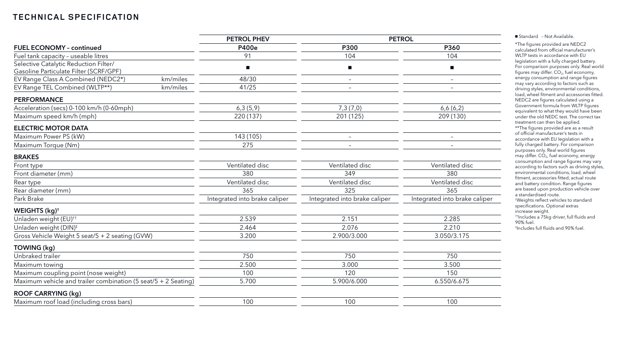## **TECHNICAL SPECIFICATION**

|                                                                                 | <b>PETROL PHEV</b>            | <b>PETROL</b>                 |                               |  |
|---------------------------------------------------------------------------------|-------------------------------|-------------------------------|-------------------------------|--|
| <b>FUEL ECONOMY - continued</b>                                                 | <b>P400e</b>                  | <b>P300</b>                   | P360                          |  |
| Fuel tank capacity - useable litres                                             | 91                            | 104                           | 104                           |  |
| Selective Catalytic Reduction Filter/<br>Gasoline Particulate Filter (SCRF/GPF) |                               |                               |                               |  |
| EV Range Class A Combined (NEDC2*)<br>km/miles                                  | 48/30                         | $\overline{\phantom{m}}$      | $\overline{\phantom{0}}$      |  |
| EV Range TEL Combined (WLTP**)<br>km/miles                                      | 41/25                         | $\overline{\phantom{m}}$      | $\overline{\phantom{0}}$      |  |
| <b>PERFORMANCE</b>                                                              |                               |                               |                               |  |
| Acceleration (secs) 0-100 km/h (0-60mph)                                        | 6,3(5,9)                      | 7,3(7,0)                      | 6,6(6,2)                      |  |
| Maximum speed km/h (mph)                                                        | 220 (137)                     | 201 (125)                     | 209 (130)                     |  |
| <b>ELECTRIC MOTOR DATA</b>                                                      |                               |                               |                               |  |
| Maximum Power PS (kW)                                                           | 143 (105)                     |                               |                               |  |
| Maximum Torque (Nm)                                                             | 275                           |                               |                               |  |
| <b>BRAKES</b>                                                                   |                               |                               |                               |  |
| Front type                                                                      | Ventilated disc               | Ventilated disc               | Ventilated disc               |  |
| Front diameter (mm)                                                             | 380                           | 349                           | 380                           |  |
| Rear type                                                                       | Ventilated disc               | Ventilated disc               | Ventilated disc               |  |
| Rear diameter (mm)                                                              | 365                           | 325                           | 365                           |  |
| Park Brake                                                                      | Integrated into brake caliper | Integrated into brake caliper | Integrated into brake caliper |  |
| WEIGHTS (kg) <sup>+</sup>                                                       |                               |                               |                               |  |
| Unladen weight (EU) <sup>††</sup>                                               | 2.539                         | 2.151                         | 2.285                         |  |
| Unladen weight (DIN) <sup>‡</sup>                                               | 2.464                         | 2.076                         | 2.210                         |  |
| Gross Vehicle Weight 5 seat/5 + 2 seating (GVW)                                 | 3.200                         | 2.900/3.000                   | 3.050/3.175                   |  |
| TOWING (kg)                                                                     |                               |                               |                               |  |
| Unbraked trailer                                                                | 750                           | 750                           | 750                           |  |
| Maximum towing                                                                  | 2.500                         | 3.000                         | 3.500                         |  |
| Maximum coupling point (nose weight)                                            | 100                           | 120                           | 150                           |  |
| Maximum vehicle and trailer combination (5 seat/5 + 2 Seating)                  | 5.700                         | 5.900/6.000                   | 6.550/6.675                   |  |
| <b>ROOF CARRYING (kg)</b>                                                       |                               |                               |                               |  |
| Maximum roof load (including cross bars)                                        | 100                           | 100                           | 100                           |  |

■ Standard - Not Available.

\*The figures provided are NEDC2 calculated from official manufacturer's WLTP tests in accordance with EU legislation with a fully charged battery. For comparison purposes only. Real world figures may differ.  $CO<sub>2</sub>$ , fuel economy, energy consumption and range figures may vary according to factors such as driving styles, environmental conditions, load, wheel fitment and accessories fitted. NEDC2 are figures calculated using a Government formula from WLTP figures equivalent to what they would have been under the old NEDC test. The correct tax treatment can then be applied. \*\*The figures provided are as a result of official manufacturer's tests in accordance with EU legislation with a fully charged battery. For comparison purposes only. Real world figures may differ.  $CO<sub>2</sub>$ , fuel economy, energy consumption and range figures may vary according to factors such as driving styles, environmental conditions, load, wheel fitment, accessories fitted, actual route and battery condition. Range figures are based upon production vehicle over a standardised route. † Weights reflect vehicles to standard specifications. Optional extras increase weight. ††Includes a 75kg driver, full fluids and

90% fuel. ‡ Includes full fluids and 90% fuel.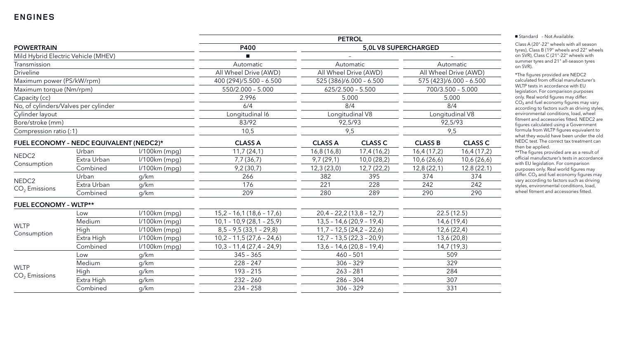## **ENGINES**

| <b>POWERTRAIN</b>                       |                                     |                 | <b>P400</b>                |                            |                | 5,0L V8 SUPERCHARGED    |             |  |
|-----------------------------------------|-------------------------------------|-----------------|----------------------------|----------------------------|----------------|-------------------------|-------------|--|
|                                         | Mild Hybrid Electric Vehicle (MHEV) |                 |                            |                            |                |                         |             |  |
| Transmission                            |                                     |                 | Automatic                  | Automatic                  |                | Automatic               |             |  |
| <b>Driveline</b>                        |                                     |                 | All Wheel Drive (AWD)      | All Wheel Drive (AWD)      |                | All Wheel Drive (AWD)   |             |  |
| Maximum power (PS/kW/rpm)               |                                     |                 | 400 (294)/5.500 - 6.500    | 525 (386)/6.000 - 6.500    |                | 575 (423)/6.000 - 6.500 |             |  |
| Maximum torque (Nm/rpm)                 |                                     |                 | 550/2.000 - 5.000          | $625/2.500 - 5.500$        |                | $700/3.500 - 5.000$     |             |  |
| Capacity (cc)                           |                                     |                 | 2.996                      | 5.000                      |                | 5.000                   |             |  |
| No, of cylinders/Valves per cylinder    |                                     |                 | 6/4                        | 8/4                        |                | 8/4                     |             |  |
| Cylinder layout                         |                                     |                 | Longitudinal I6            | Longitudinal V8            |                | Longitudinal V8         |             |  |
| Bore/stroke (mm)                        |                                     |                 | 83/92                      |                            | 92,5/93        | 92,5/93                 |             |  |
| Compression ratio (:1)                  |                                     |                 | 10,5                       | 9,5                        |                | 9,5                     |             |  |
| FUEL ECONOMY - NEDC EQUIVALENT (NEDC2)* |                                     | <b>CLASS A</b>  | <b>CLASS A</b>             | <b>CLASS C</b>             | <b>CLASS B</b> | <b>CLASS C</b>          |             |  |
|                                         | Urban                               | $1/100km$ (mpg) | 11,7(24,1)                 | 16,8(16,8)                 | 17,4(16,2)     | 16,4(17,2)              | 16,4(17,2)  |  |
| NEDC <sub>2</sub>                       | Extra Urban                         | $1/100km$ (mpg) | 7,7(36,7)                  | 9,7(29,1)                  | 10,0(28,2)     | 10,6(26,6)              | 10,6 (26,6) |  |
| Consumption                             | Combined                            | l/100km (mpg)   | 9,2(30,7)                  | 12,3(23,0)                 | 12,7(22,2)     | 12,8(22,1)              | 12.8(22.1)  |  |
|                                         | Urban                               | g/km            | 266                        | 382                        | 395            | 374                     | 374         |  |
| NEDC <sub>2</sub>                       | Extra Urban                         | g/km            | 176                        | 221                        | 228            | 242                     | 242         |  |
| $CO2$ Emissions                         | Combined                            | g/km            | 209                        | 280                        | 289            | 290                     | 290         |  |
| <b>FUEL ECONOMY - WLTP**</b>            |                                     |                 |                            |                            |                |                         |             |  |
| Low                                     |                                     | $1/100km$ (mpg) | $15,2 - 16,1(18,6 - 17,6)$ | $20,4 - 22,2(13,8 - 12,7)$ |                | 22.5(12.5)              |             |  |
|                                         | Medium                              | $1/100km$ (mpg) | $10,1 - 10,9(28,1 - 25,9)$ | $13,5 - 14,6(20,9 - 19,4)$ |                | 14,6 (19,4)             |             |  |
| <b>WLTP</b>                             | High                                | $1/100km$ (mpg) | $8,5 - 9,5(33,1 - 29,8)$   | $11,7 - 12,5(24,2 - 22,6)$ |                | 12,6(22,4)              |             |  |
| Consumption                             | Extra High                          | $1/100km$ (mpg) | $10,2 - 11,5(27,6 - 24,6)$ | $12,7 - 13,5(22,3 - 20,9)$ |                | 13,6(20,8)              |             |  |
|                                         | Combined                            | I/100km (mpg)   | $10,3 - 11,4(27,4 - 24,9)$ | $13,6 - 14,6(20,8 - 19,4)$ |                | 14,7(19,3)              |             |  |
|                                         | Low                                 | g/km            | $345 - 365$                | $460 - 501$                |                | 509                     |             |  |
|                                         | Medium                              | g/km            | $228 - 247$                | $306 - 329$                |                | 329                     |             |  |
| <b>WLTP</b>                             | High                                | g/km            | $193 - 215$                | $263 - 281$                |                | 284                     |             |  |
| $CO2$ Emissions                         | Extra High                          | g/km            | $232 - 260$                | $286 - 304$                |                | 307                     |             |  |
|                                         | Combined                            | g/km            | $234 - 258$                |                            | $306 - 329$    |                         | 331         |  |
|                                         |                                     |                 |                            |                            |                |                         |             |  |

| Automatic               |                |  |  |  |  |  |  |
|-------------------------|----------------|--|--|--|--|--|--|
| All Wheel Drive (AWD)   |                |  |  |  |  |  |  |
| 575 (423)/6.000 - 6.500 |                |  |  |  |  |  |  |
| 700/3.500 - 5.000       |                |  |  |  |  |  |  |
| 5.000                   |                |  |  |  |  |  |  |
| 8/4                     |                |  |  |  |  |  |  |
| Longitudinal V8         |                |  |  |  |  |  |  |
| 92,5/93                 |                |  |  |  |  |  |  |
| 9,5                     |                |  |  |  |  |  |  |
| CLASS B                 | <b>CLASS C</b> |  |  |  |  |  |  |
| 5,4 (17,2)              | 16,4 (17,2)    |  |  |  |  |  |  |
| 0,6 (26,6)              | 10,6 (26,6)    |  |  |  |  |  |  |
| 2,8 (22,1)              | 12.8 (22.1)    |  |  |  |  |  |  |
| 374                     | 374            |  |  |  |  |  |  |
| 242                     | 242            |  |  |  |  |  |  |
| 290                     | 290            |  |  |  |  |  |  |
|                         |                |  |  |  |  |  |  |
| 22.5(12.5)              |                |  |  |  |  |  |  |
| 14,6 (19,4)             |                |  |  |  |  |  |  |
| 12,6 (22,4)             |                |  |  |  |  |  |  |
| 13,6 (20,8)             |                |  |  |  |  |  |  |
| 14,7 (19,3)             |                |  |  |  |  |  |  |
| 509                     |                |  |  |  |  |  |  |
| 320                     |                |  |  |  |  |  |  |

■ Standard - Not Available.

\*\*The figures provided are as a result of official manufacturer's tests in accordance with EU legislation. For comparison purposes only. Real world figures may differ. CO<sub>2</sub> and fuel economy figures may vary according to factors such as driving styles, environmental conditions, load, wheel fitment and accessories fitted.

Class A (20"-22" wheels with all season tyres), Class B (19" wheels and 22" wheels on SVR), Class C (21"-22" wheels with summer tyres and 21" all-season tyres on SVR).

\*The figures provided are NEDC2 calculated from official manufacturer's WLTP tests in accordance with EU legislation. For comparison purposes only. Real world figures may differ.  $CO<sub>2</sub>$  and fuel economy figures may vary according to factors such as driving styles, environmental conditions, load, wheel fitment and accessories fitted. NEDC2 are figures calculated using a Government formula from WLTP figures equivalent to what they would have been under the old NEDC test. The correct tax treatment can then be applied.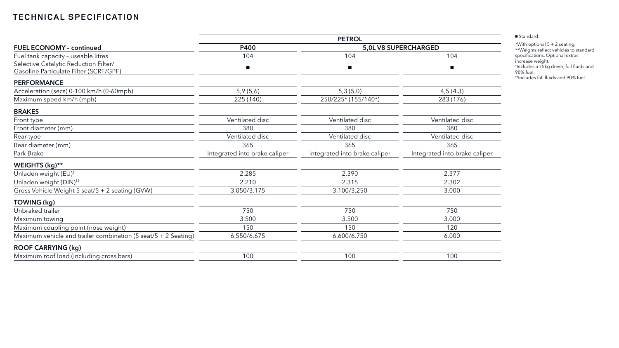## **TECHNICAL SPECIFICATION**

|                                                                                 | <b>PETROL</b>                 |                               |                               |  |  |  |
|---------------------------------------------------------------------------------|-------------------------------|-------------------------------|-------------------------------|--|--|--|
| <b>FUEL ECONOMY - continued</b>                                                 | P400                          | 5,0L V8 SUPERCHARGED          |                               |  |  |  |
| Fuel tank capacity - useable litres                                             | 104                           | 104                           | 104                           |  |  |  |
| Selective Catalytic Reduction Filter/<br>Gasoline Particulate Filter (SCRF/GPF) | $\blacksquare$                |                               |                               |  |  |  |
| <b>PERFORMANCE</b>                                                              |                               |                               |                               |  |  |  |
| Acceleration (secs) 0-100 km/h (0-60mph)                                        | 5,9(5,6)                      | 5,3(5,0)                      | 4,5(4,3)                      |  |  |  |
| Maximum speed km/h (mph)                                                        | 225 (140)                     | 250/225* (155/140*)           | 283 (176)                     |  |  |  |
| <b>BRAKES</b>                                                                   |                               |                               |                               |  |  |  |
| Front type                                                                      | Ventilated disc               | Ventilated disc               | Ventilated disc               |  |  |  |
| Front diameter (mm)                                                             | 380                           | 380                           | 380                           |  |  |  |
| Rear type                                                                       | Ventilated disc               | Ventilated disc               | Ventilated disc               |  |  |  |
| Rear diameter (mm)                                                              | 365                           | 365                           | 365                           |  |  |  |
| Park Brake                                                                      | Integrated into brake caliper | Integrated into brake caliper | Integrated into brake caliper |  |  |  |
| WEIGHTS (kg)**                                                                  |                               |                               |                               |  |  |  |
| Unladen weight (EU) <sup>+</sup>                                                | 2.285                         | 2.390                         | 2.377                         |  |  |  |
| Unladen weight (DIN) <sup>++</sup>                                              | 2.210                         | 2.315                         | 2.302                         |  |  |  |
| Gross Vehicle Weight 5 seat/5 + 2 seating (GVW)                                 | 3.050/3.175                   | 3.100/3.250                   | 3.000                         |  |  |  |
| TOWING (kg)                                                                     |                               |                               |                               |  |  |  |
| Unbraked trailer                                                                | 750                           | 750                           | 750                           |  |  |  |
| Maximum towing                                                                  | 3.500                         | 3.500                         | 3.000                         |  |  |  |
| Maximum coupling point (nose weight)                                            | 150                           | 150                           | 120                           |  |  |  |
| Maximum vehicle and trailer combination (5 seat/5 + 2 Seating)                  | 6.550/6.675                   | 6.600/6.750                   | 6.000                         |  |  |  |
| <b>ROOF CARRYING (kg)</b>                                                       |                               |                               |                               |  |  |  |
| Maximum roof load (including cross bars)                                        | 100                           | 100                           | 100                           |  |  |  |

#### ■ Standard

\*With optional 5 + 2 seating.

\*\*Weights reflect vehicles to standard specifications. Optional extras increase weight. † Includes a 75kg driver, full fluids and

90% fuel.

††Includes full fluids and 90% fuel.